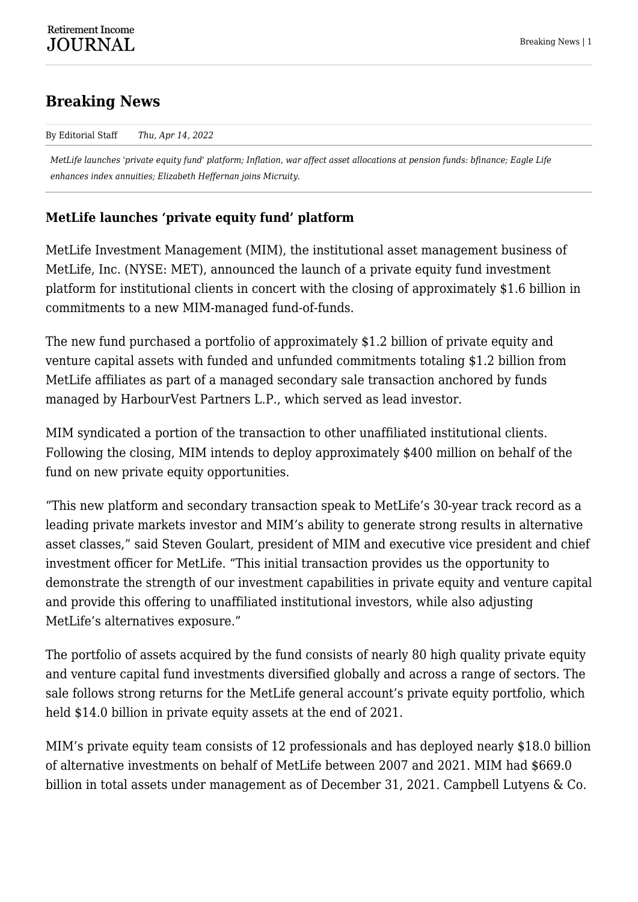# **Breaking News**

By Editorial Staff *Thu, Apr 14, 2022*

*MetLife launches 'private equity fund' platform; Inflation, war affect asset allocations at pension funds: bfinance; Eagle Life enhances index annuities; Elizabeth Heffernan joins Micruity.*

# **MetLife launches 'private equity fund' platform**

MetLife Investment Management (MIM), the institutional asset management business of MetLife, Inc. (NYSE: MET), announced the launch of a private equity fund investment platform for institutional clients in concert with the closing of approximately \$1.6 billion in commitments to a new MIM-managed fund-of-funds.

The new fund purchased a portfolio of approximately \$1.2 billion of private equity and venture capital assets with funded and unfunded commitments totaling \$1.2 billion from MetLife affiliates as part of a managed secondary sale transaction anchored by funds managed by HarbourVest Partners L.P., which served as lead investor.

MIM syndicated a portion of the transaction to other unaffiliated institutional clients. Following the closing, MIM intends to deploy approximately \$400 million on behalf of the fund on new private equity opportunities.

"This new platform and secondary transaction speak to MetLife's 30-year track record as a leading private markets investor and MIM's ability to generate strong results in alternative asset classes," said Steven Goulart, president of MIM and executive vice president and chief investment officer for MetLife. "This initial transaction provides us the opportunity to demonstrate the strength of our investment capabilities in private equity and venture capital and provide this offering to unaffiliated institutional investors, while also adjusting MetLife's alternatives exposure."

The portfolio of assets acquired by the fund consists of nearly 80 high quality private equity and venture capital fund investments diversified globally and across a range of sectors. The sale follows strong returns for the MetLife general account's private equity portfolio, which held \$14.0 billion in private equity assets at the end of 2021.

MIM's private equity team consists of 12 professionals and has deployed nearly \$18.0 billion of alternative investments on behalf of MetLife between 2007 and 2021. MIM had \$669.0 billion in total assets under management as of December 31, 2021. Campbell Lutyens & Co.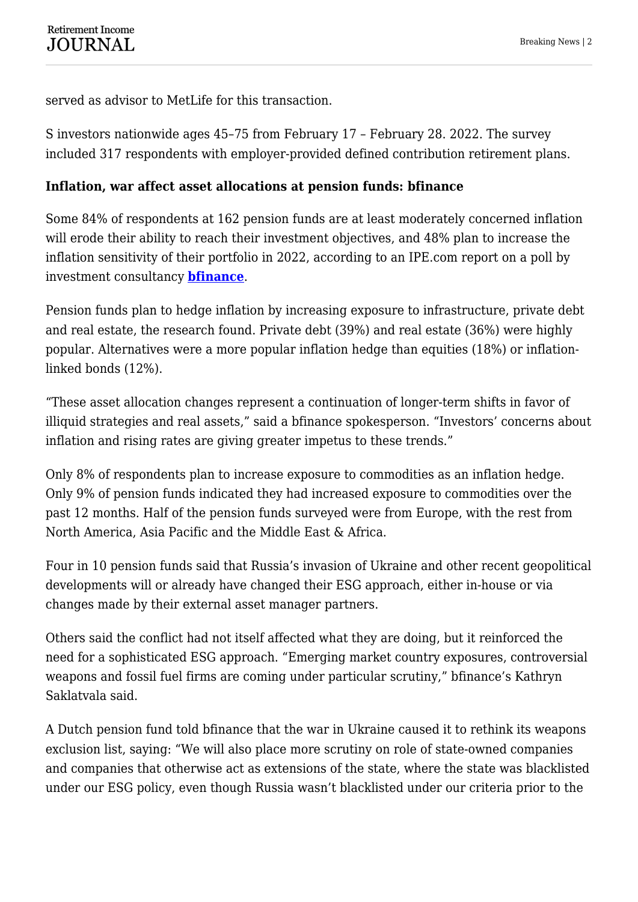served as advisor to MetLife for this transaction.

S investors nationwide ages 45–75 from February 17 – February 28. 2022. The survey included 317 respondents with employer-provided defined contribution retirement plans.

### **Inflation, war affect asset allocations at pension funds: bfinance**

Some 84% of respondents at 162 pension funds are at least moderately concerned inflation will erode their ability to reach their investment objectives, and 48% plan to increase the inflation sensitivity of their portfolio in 2022, according to an IPE.com report on a poll by investment consultancy **[bfinance](https://www.bfinance.com/)**.

Pension funds plan to hedge inflation by increasing exposure to infrastructure, private debt and real estate, the research found. Private debt (39%) and real estate (36%) were highly popular. Alternatives were a more popular inflation hedge than equities (18%) or inflationlinked bonds (12%).

"These asset allocation changes represent a continuation of longer-term shifts in favor of illiquid strategies and real assets," said a bfinance spokesperson. "Investors' concerns about inflation and rising rates are giving greater impetus to these trends."

Only 8% of respondents plan to increase exposure to commodities as an inflation hedge. Only 9% of pension funds indicated they had increased exposure to commodities over the past 12 months. Half of the pension funds surveyed were from Europe, with the rest from North America, Asia Pacific and the Middle East & Africa.

Four in 10 pension funds said that Russia's invasion of Ukraine and other recent geopolitical developments will or already have changed their ESG approach, either in-house or via changes made by their external asset manager partners.

Others said the conflict had not itself affected what they are doing, but it reinforced the need for a sophisticated ESG approach. "Emerging market country exposures, controversial weapons and fossil fuel firms are coming under particular scrutiny," bfinance's Kathryn Saklatvala said.

A Dutch pension fund told bfinance that the war in Ukraine caused it to rethink its weapons exclusion list, saying: "We will also place more scrutiny on role of state-owned companies and companies that otherwise act as extensions of the state, where the state was blacklisted under our ESG policy, even though Russia wasn't blacklisted under our criteria prior to the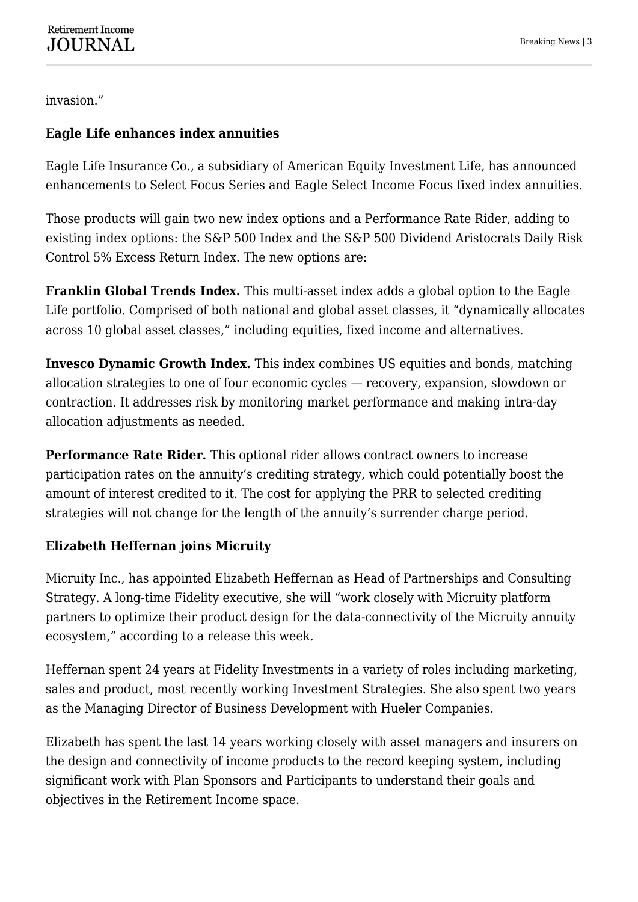invasion."

# **Eagle Life enhances index annuities**

Eagle Life Insurance Co., a subsidiary of American Equity Investment Life, has announced enhancements to Select Focus Series and Eagle Select Income Focus fixed index annuities.

Those products will gain two new index options and a Performance Rate Rider, adding to existing index options: the S&P 500 Index and the S&P 500 Dividend Aristocrats Daily Risk Control 5% Excess Return Index. The new options are:

**Franklin Global Trends Index.** This multi-asset index adds a global option to the Eagle Life portfolio. Comprised of both national and global asset classes, it "dynamically allocates across 10 global asset classes," including equities, fixed income and alternatives.

**Invesco Dynamic Growth Index.** This index combines US equities and bonds, matching allocation strategies to one of four economic cycles — recovery, expansion, slowdown or contraction. It addresses risk by monitoring market performance and making intra-day allocation adjustments as needed.

**Performance Rate Rider.** This optional rider allows contract owners to increase participation rates on the annuity's crediting strategy, which could potentially boost the amount of interest credited to it. The cost for applying the PRR to selected crediting strategies will not change for the length of the annuity's surrender charge period.

# **Elizabeth Heffernan joins Micruity**

Micruity Inc., has appointed Elizabeth Heffernan as Head of Partnerships and Consulting Strategy. A long-time Fidelity executive, she will "work closely with Micruity platform partners to optimize their product design for the data-connectivity of the Micruity annuity ecosystem," according to a release this week.

Heffernan spent 24 years at Fidelity Investments in a variety of roles including marketing, sales and product, most recently working Investment Strategies. She also spent two years as the Managing Director of Business Development with Hueler Companies.

Elizabeth has spent the last 14 years working closely with asset managers and insurers on the design and connectivity of income products to the record keeping system, including significant work with Plan Sponsors and Participants to understand their goals and objectives in the Retirement Income space.